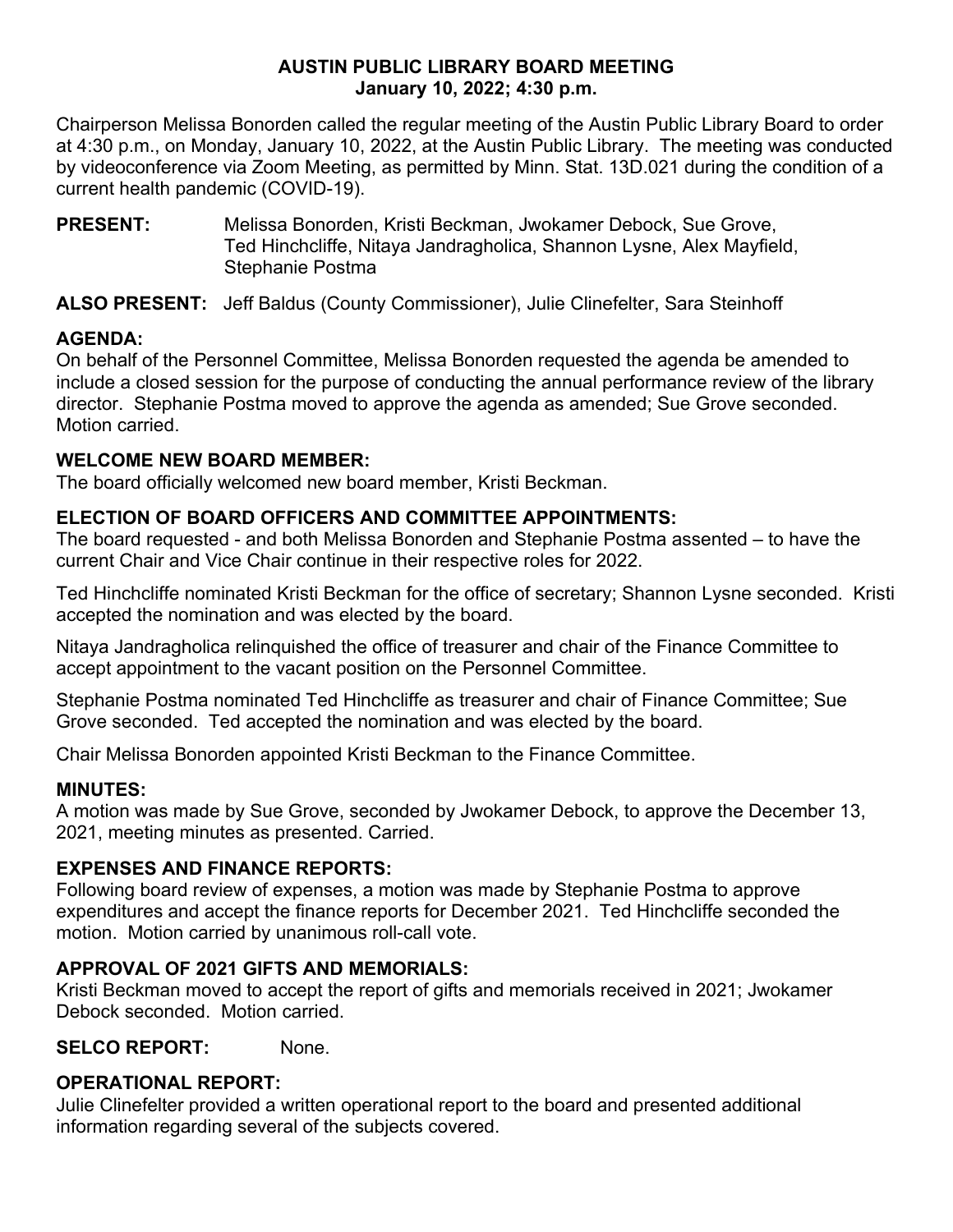# **AUSTIN PUBLIC LIBRARY BOARD MEETING January 10, 2022; 4:30 p.m.**

Chairperson Melissa Bonorden called the regular meeting of the Austin Public Library Board to order at 4:30 p.m., on Monday, January 10, 2022, at the Austin Public Library. The meeting was conducted by videoconference via Zoom Meeting, as permitted by Minn. Stat. 13D.021 during the condition of a current health pandemic (COVID-19).

**PRESENT:** Melissa Bonorden, Kristi Beckman, Jwokamer Debock, Sue Grove, Ted Hinchcliffe, Nitaya Jandragholica, Shannon Lysne, Alex Mayfield, Stephanie Postma

**ALSO PRESENT:** Jeff Baldus (County Commissioner), Julie Clinefelter, Sara Steinhoff

# **AGENDA:**

On behalf of the Personnel Committee, Melissa Bonorden requested the agenda be amended to include a closed session for the purpose of conducting the annual performance review of the library director. Stephanie Postma moved to approve the agenda as amended; Sue Grove seconded. Motion carried.

### **WELCOME NEW BOARD MEMBER:**

The board officially welcomed new board member, Kristi Beckman.

### **ELECTION OF BOARD OFFICERS AND COMMITTEE APPOINTMENTS:**

The board requested - and both Melissa Bonorden and Stephanie Postma assented – to have the current Chair and Vice Chair continue in their respective roles for 2022.

Ted Hinchcliffe nominated Kristi Beckman for the office of secretary; Shannon Lysne seconded. Kristi accepted the nomination and was elected by the board.

Nitaya Jandragholica relinquished the office of treasurer and chair of the Finance Committee to accept appointment to the vacant position on the Personnel Committee.

Stephanie Postma nominated Ted Hinchcliffe as treasurer and chair of Finance Committee; Sue Grove seconded. Ted accepted the nomination and was elected by the board.

Chair Melissa Bonorden appointed Kristi Beckman to the Finance Committee.

#### **MINUTES:**

A motion was made by Sue Grove, seconded by Jwokamer Debock, to approve the December 13, 2021, meeting minutes as presented. Carried.

#### **EXPENSES AND FINANCE REPORTS:**

Following board review of expenses, a motion was made by Stephanie Postma to approve expenditures and accept the finance reports for December 2021. Ted Hinchcliffe seconded the motion. Motion carried by unanimous roll-call vote.

# **APPROVAL OF 2021 GIFTS AND MEMORIALS:**

Kristi Beckman moved to accept the report of gifts and memorials received in 2021; Jwokamer Debock seconded. Motion carried.

**SELCO REPORT:** None.

# **OPERATIONAL REPORT:**

Julie Clinefelter provided a written operational report to the board and presented additional information regarding several of the subjects covered.